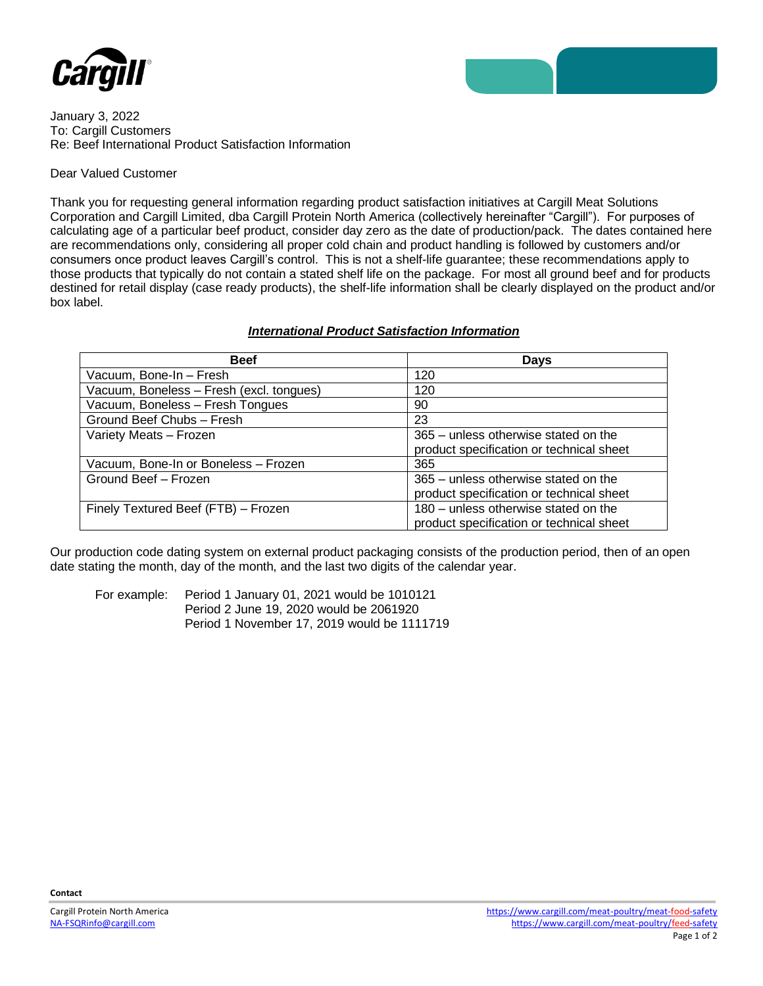

January 3, 2022 To: Cargill Customers Re: Beef International Product Satisfaction Information

## Dear Valued Customer

Thank you for requesting general information regarding product satisfaction initiatives at Cargill Meat Solutions Corporation and Cargill Limited, dba Cargill Protein North America (collectively hereinafter "Cargill"). For purposes of calculating age of a particular beef product, consider day zero as the date of production/pack. The dates contained here are recommendations only, considering all proper cold chain and product handling is followed by customers and/or consumers once product leaves Cargill's control. This is not a shelf-life guarantee; these recommendations apply to those products that typically do not contain a stated shelf life on the package. For most all ground beef and for products destined for retail display (case ready products), the shelf-life information shall be clearly displayed on the product and/or box label.

## *International Product Satisfaction Information*

| <b>Beef</b>                              | <b>Days</b>                              |
|------------------------------------------|------------------------------------------|
| Vacuum, Bone-In - Fresh                  | 120                                      |
| Vacuum, Boneless - Fresh (excl. tongues) | 120                                      |
| Vacuum, Boneless - Fresh Tongues         | 90                                       |
| Ground Beef Chubs - Fresh                | 23                                       |
| Variety Meats - Frozen                   | 365 – unless otherwise stated on the     |
|                                          | product specification or technical sheet |
| Vacuum, Bone-In or Boneless - Frozen     | 365                                      |
| Ground Beef - Frozen                     | 365 - unless otherwise stated on the     |
|                                          | product specification or technical sheet |
| Finely Textured Beef (FTB) - Frozen      | 180 - unless otherwise stated on the     |
|                                          | product specification or technical sheet |

Our production code dating system on external product packaging consists of the production period, then of an open date stating the month, day of the month, and the last two digits of the calendar year.

For example: Period 1 January 01, 2021 would be 1010121 Period 2 June 19, 2020 would be 2061920 Period 1 November 17, 2019 would be 1111719